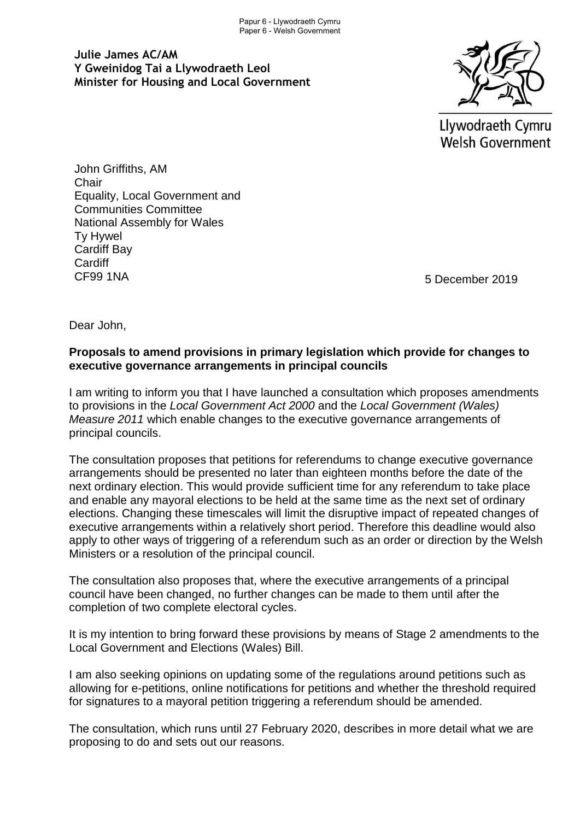**Julie James AC/AM Y Gweinidog Tai a Llywodraeth Leol Minister for Housing and Local Government**



Llywodraeth Cymru **Welsh Government** 

John Griffiths, AM **Chair** Equality, Local Government and Communities Committee National Assembly for Wales Ty Hywel Cardiff Bay **Cardiff** CF99 1NA

5 December 2019

Dear John,

## **Proposals to amend provisions in primary legislation which provide for changes to executive governance arrangements in principal councils**

I am writing to inform you that I have launched a consultation which proposes amendments to provisions in the *Local Government Act 2000* and the *Local Government (Wales) Measure 2011* which enable changes to the executive governance arrangements of principal councils.

The consultation proposes that petitions for referendums to change executive governance arrangements should be presented no later than eighteen months before the date of the next ordinary election. This would provide sufficient time for any referendum to take place and enable any mayoral elections to be held at the same time as the next set of ordinary elections. Changing these timescales will limit the disruptive impact of repeated changes of executive arrangements within a relatively short period. Therefore this deadline would also apply to other ways of triggering of a referendum such as an order or direction by the Welsh Ministers or a resolution of the principal council.

The consultation also proposes that, where the executive arrangements of a principal council have been changed, no further changes can be made to them until after the completion of two complete electoral cycles.

It is my intention to bring forward these provisions by means of Stage 2 amendments to the Local Government and Elections (Wales) Bill.

I am also seeking opinions on updating some of the regulations around petitions such as allowing for e-petitions, online notifications for petitions and whether the threshold required for signatures to a mayoral petition triggering a referendum should be amended.

The consultation, which runs until 27 February 2020, describes in more detail what we are proposing to do and sets out our reasons.